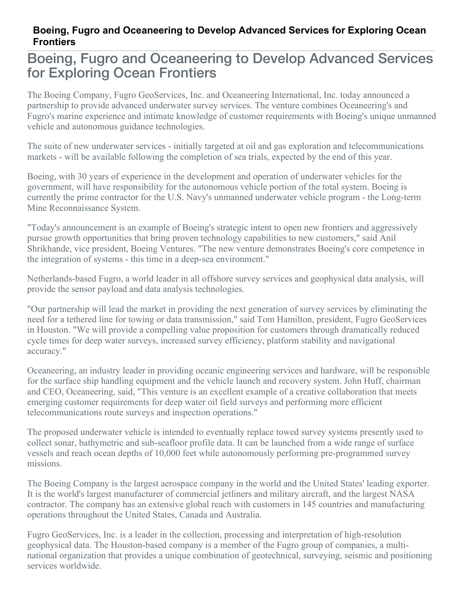## **Boeing, Fugro and Oceaneering to Develop Advanced Services for Exploring Ocean Frontiers**

## Boeing, Fugro and Oceaneering to Develop Advanced Services for Exploring Ocean Frontiers

The Boeing Company, Fugro GeoServices, Inc. and Oceaneering International, Inc. today announced a partnership to provide advanced underwater survey services. The venture combines Oceaneering's and Fugro's marine experience and intimate knowledge of customer requirements with Boeing's unique unmanned vehicle and autonomous guidance technologies.

The suite of new underwater services - initially targeted at oil and gas exploration and telecommunications markets - will be available following the completion of sea trials, expected by the end of this year.

Boeing, with 30 years of experience in the development and operation of underwater vehicles for the government, will have responsibility for the autonomous vehicle portion of the total system. Boeing is currently the prime contractor for the U.S. Navy's unmanned underwater vehicle program - the Long-term Mine Reconnaissance System.

"Today's announcement is an example of Boeing's strategic intent to open new frontiers and aggressively pursue growth opportunities that bring proven technology capabilities to new customers," said Anil Shrikhande, vice president, Boeing Ventures. "The new venture demonstrates Boeing's core competence in the integration of systems - this time in a deep-sea environment."

Netherlands-based Fugro, a world leader in all offshore survey services and geophysical data analysis, will provide the sensor payload and data analysis technologies.

"Our partnership will lead the market in providing the next generation of survey services by eliminating the need for a tethered line for towing or data transmission," said Tom Hamilton, president, Fugro GeoServices in Houston. "We will provide a compelling value proposition for customers through dramatically reduced cycle times for deep water surveys, increased survey efficiency, platform stability and navigational accuracy."

Oceaneering, an industry leader in providing oceanic engineering services and hardware, will be responsible for the surface ship handling equipment and the vehicle launch and recovery system. John Huff, chairman and CEO, Oceaneering, said, "This venture is an excellent example of a creative collaboration that meets emerging customer requirements for deep water oil field surveys and performing more efficient telecommunications route surveys and inspection operations."

The proposed underwater vehicle is intended to eventually replace towed survey systems presently used to collect sonar, bathymetric and sub-seafloor profile data. It can be launched from a wide range of surface vessels and reach ocean depths of 10,000 feet while autonomously performing pre-programmed survey missions.

The Boeing Company is the largest aerospace company in the world and the United States' leading exporter. It is the world's largest manufacturer of commercial jetliners and military aircraft, and the largest NASA contractor. The company has an extensive global reach with customers in 145 countries and manufacturing operations throughout the United States, Canada and Australia.

Fugro GeoServices, Inc. is a leader in the collection, processing and interpretation of high-resolution geophysical data. The Houston-based company is a member of the Fugro group of companies, a multinational organization that provides a unique combination of geotechnical, surveying, seismic and positioning services worldwide.